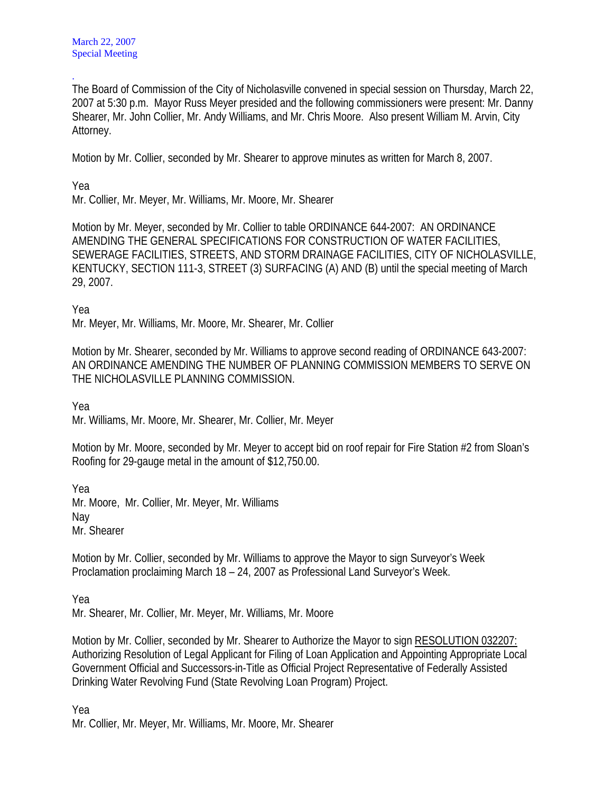The Board of Commission of the City of Nicholasville convened in special session on Thursday, March 22, 2007 at 5:30 p.m. Mayor Russ Meyer presided and the following commissioners were present: Mr. Danny Shearer, Mr. John Collier, Mr. Andy Williams, and Mr. Chris Moore. Also present William M. Arvin, City Attorney.

Motion by Mr. Collier, seconded by Mr. Shearer to approve minutes as written for March 8, 2007.

Yea

.

Mr. Collier, Mr. Meyer, Mr. Williams, Mr. Moore, Mr. Shearer

Motion by Mr. Meyer, seconded by Mr. Collier to table ORDINANCE 644-2007: AN ORDINANCE AMENDING THE GENERAL SPECIFICATIONS FOR CONSTRUCTION OF WATER FACILITIES, SEWERAGE FACILITIES, STREETS, AND STORM DRAINAGE FACILITIES, CITY OF NICHOLASVILLE, KENTUCKY, SECTION 111-3, STREET (3) SURFACING (A) AND (B) until the special meeting of March 29, 2007.

Yea

Mr. Meyer, Mr. Williams, Mr. Moore, Mr. Shearer, Mr. Collier

Motion by Mr. Shearer, seconded by Mr. Williams to approve second reading of ORDINANCE 643-2007: AN ORDINANCE AMENDING THE NUMBER OF PLANNING COMMISSION MEMBERS TO SERVE ON THE NICHOLASVILLE PLANNING COMMISSION.

Yea

Mr. Williams, Mr. Moore, Mr. Shearer, Mr. Collier, Mr. Meyer

Motion by Mr. Moore, seconded by Mr. Meyer to accept bid on roof repair for Fire Station #2 from Sloan's Roofing for 29-gauge metal in the amount of \$12,750.00.

Yea Mr. Moore, Mr. Collier, Mr. Meyer, Mr. Williams Nay Mr. Shearer

Motion by Mr. Collier, seconded by Mr. Williams to approve the Mayor to sign Surveyor's Week Proclamation proclaiming March 18 – 24, 2007 as Professional Land Surveyor's Week.

Yea

Mr. Shearer, Mr. Collier, Mr. Meyer, Mr. Williams, Mr. Moore

Motion by Mr. Collier, seconded by Mr. Shearer to Authorize the Mayor to sign RESOLUTION 032207: Authorizing Resolution of Legal Applicant for Filing of Loan Application and Appointing Appropriate Local Government Official and Successors-in-Title as Official Project Representative of Federally Assisted Drinking Water Revolving Fund (State Revolving Loan Program) Project.

Yea

Mr. Collier, Mr. Meyer, Mr. Williams, Mr. Moore, Mr. Shearer